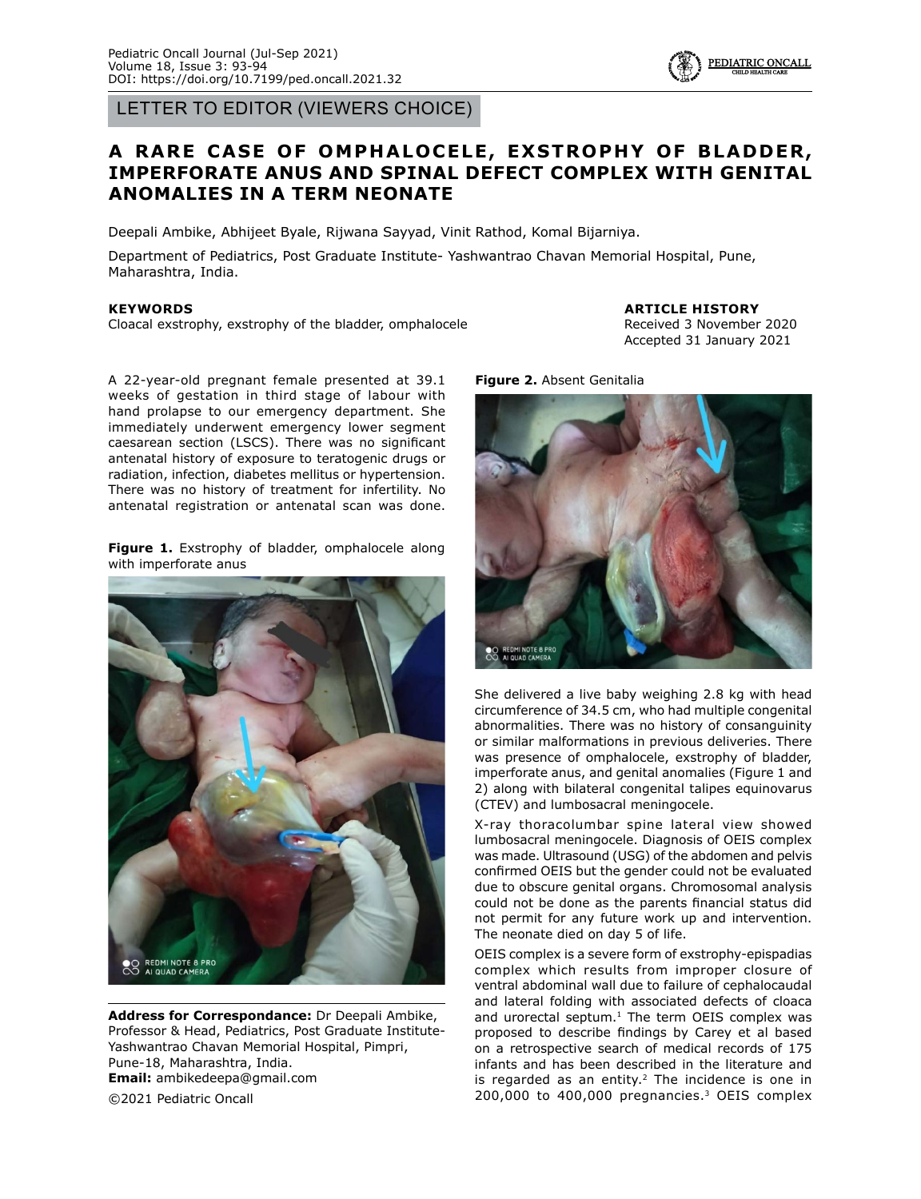LETTER TO EDITOR (VIEWERS CHOICE)

## A RARE CASE OF OMPHALOCELE, EXSTROPHY OF BLADDER, **IMPERFORATE ANUS AND SPINAL DEFECT COMPLEX WITH GENITAL ANOMALIES IN A TERM NEONATE**

Deepali Ambike, Abhijeet Byale, Rijwana Sayyad, Vinit Rathod, Komal Bijarniya.

Department of Pediatrics, Post Graduate Institute- Yashwantrao Chavan Memorial Hospital, Pune, Maharashtra, India.

## **KEYWORDS**

Cloacal exstrophy, exstrophy of the bladder, omphalocele

**ARTICLE HISTORY** Received 3 November 2020 Accepted 31 January 2021

PEDIATRIC ONCALI

A 22-year-old pregnant female presented at 39.1 weeks of gestation in third stage of labour with hand prolapse to our emergency department. She immediately underwent emergency lower segment caesarean section (LSCS). There was no significant antenatal history of exposure to teratogenic drugs or radiation, infection, diabetes mellitus or hypertension. There was no history of treatment for infertility. No antenatal registration or antenatal scan was done.

**Figure 1.** Exstrophy of bladder, omphalocele along with imperforate anus



**Address for Correspondance:** Dr Deepali Ambike, Professor & Head, Pediatrics, Post Graduate Institute-Yashwantrao Chavan Memorial Hospital, Pimpri, Pune-18, Maharashtra, India. **Email:** ambikedeepa@gmail.com ©2021 Pediatric Oncall

**Figure 2.** Absent Genitalia



She delivered a live baby weighing 2.8 kg with head circumference of 34.5 cm, who had multiple congenital abnormalities. There was no history of consanguinity or similar malformations in previous deliveries. There was presence of omphalocele, exstrophy of bladder, imperforate anus, and genital anomalies (Figure 1 and 2) along with bilateral congenital talipes equinovarus (CTEV) and lumbosacral meningocele.

X-ray thoracolumbar spine lateral view showed lumbosacral meningocele. Diagnosis of OEIS complex was made. Ultrasound (USG) of the abdomen and pelvis confirmed OEIS but the gender could not be evaluated due to obscure genital organs. Chromosomal analysis could not be done as the parents financial status did not permit for any future work up and intervention. The neonate died on day 5 of life.

OEIS complex is a severe form of exstrophy-epispadias complex which results from improper closure of ventral abdominal wall due to failure of cephalocaudal and lateral folding with associated defects of cloaca and urorectal septum. $1$  The term OEIS complex was proposed to describe findings by Carey et al based on a retrospective search of medical records of 175 infants and has been described in the literature and is regarded as an entity. $2$  The incidence is one in 200,000 to 400,000 pregnancies.3 OEIS complex